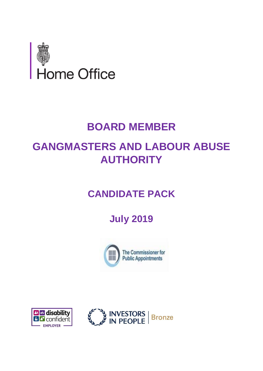

# **BOARD MEMBER**

# **GANGMASTERS AND LABOUR ABUSE AUTHORITY**

# **CANDIDATE PACK**

# **July 2019**





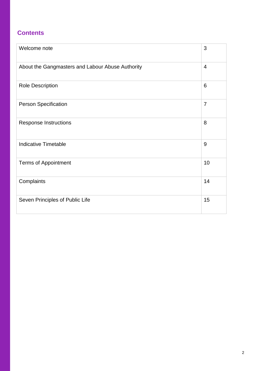## **Contents**

| Welcome note                                     | 3              |
|--------------------------------------------------|----------------|
| About the Gangmasters and Labour Abuse Authority | $\overline{4}$ |
| <b>Role Description</b>                          | 6              |
| <b>Person Specification</b>                      | $\overline{7}$ |
| <b>Response Instructions</b>                     | 8              |
| <b>Indicative Timetable</b>                      | 9              |
| <b>Terms of Appointment</b>                      | 10             |
| Complaints                                       | 14             |
| Seven Principles of Public Life                  | 15             |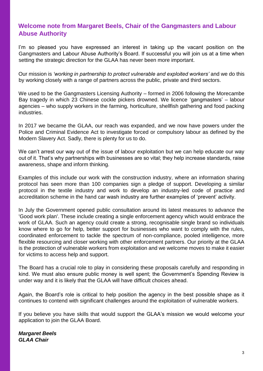## **Welcome note from Margaret Beels, Chair of the Gangmasters and Labour Abuse Authority**

I'm so pleased you have expressed an interest in taking up the vacant position on the Gangmasters and Labour Abuse Authority's Board. If successful you will join us at a time when setting the strategic direction for the GLAA has never been more important.

Our mission is *'working in partnership to protect vulnerable and exploited workers'* and we do this by working closely with a range of partners across the public, private and third sectors.

We used to be the Gangmasters Licensing Authority – formed in 2006 following the Morecambe Bay tragedy in which 23 Chinese cockle pickers drowned. We licence 'gangmasters' – labour agencies – who supply workers in the farming, horticulture, shellfish gathering and food packing industries.

In 2017 we became the GLAA, our reach was expanded, and we now have powers under the Police and Criminal Evidence Act to investigate forced or compulsory labour as defined by the Modern Slavery Act. Sadly, there is plenty for us to do.

We can't arrest our way out of the issue of labour exploitation but we can help educate our way out of it. That's why partnerships with businesses are so vital; they help increase standards, raise awareness, shape and inform thinking.

Examples of this include our work with the construction industry, where an information sharing protocol has seen more than 100 companies sign a pledge of support. Developing a similar protocol in the textile industry and work to develop an industry-led code of practice and accreditation scheme in the hand car wash industry are further examples of 'prevent' activity.

In July the Government opened public consultation around its latest measures to advance the 'Good work plan'. These include creating a single enforcement agency which would embrace the work of GLAA. Such an agency could create a strong, recognisable single brand so individuals know where to go for help, better support for businesses who want to comply with the rules, coordinated enforcement to tackle the spectrum of non-compliance, pooled intelligence, more flexible resourcing and closer working with other enforcement partners. Our priority at the GLAA is the protection of vulnerable workers from exploitation and we welcome moves to make it easier for victims to access help and support.

The Board has a crucial role to play in considering these proposals carefully and responding in kind. We must also ensure public money is well spent; the Government's Spending Review is under way and it is likely that the GLAA will have difficult choices ahead.

Again, the Board's role is critical to help position the agency in the best possible shape as it continues to contend with significant challenges around the exploitation of vulnerable workers.

If you believe you have skills that would support the GLAA's mission we would welcome your application to join the GLAA Board.

*Margaret Beels GLAA Chair*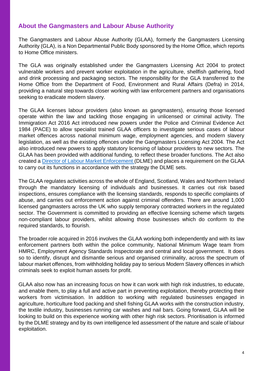## **About the Gangmasters and Labour Abuse Authority**

The Gangmasters and Labour Abuse Authority (GLAA), formerly the Gangmasters Licensing Authority (GLA), is a Non Departmental Public Body sponsored by the Home Office, which reports to Home Office ministers.

The GLA was originally established under the Gangmasters Licensing Act 2004 to protect vulnerable workers and prevent worker exploitation in the agriculture, shellfish gathering, food and drink processing and packaging sectors. The responsibility for the GLA transferred to the Home Office from the Department of Food, Environment and Rural Affairs (Defra) in 2014, providing a natural step towards closer working with law enforcement partners and organisations seeking to eradicate modern slavery.

The GLAA licenses labour providers (also known as gangmasters), ensuring those licensed operate within the law and tackling those engaging in unlicensed or criminal activity. The Immigration Act 2016 Act introduced new powers under the Police and Criminal Evidence Act 1984 (PACE) to allow specialist trained GLAA officers to investigate serious cases of labour market offences across national minimum wage, employment agencies, and modern slavery legislation, as well as the existing offences under the Gangmasters Licensing Act 2004. The Act also introduced new powers to apply statutory licensing of labour providers to new sectors. The GLAA has been provided with additional funding, to reflect these broader functions. The Act also created a [Director of Labour Market Enforcement \(D](https://www.gov.uk/government/news/new-protections-for-millions-of-vulnerable-workers)LME) and places a requirement on the GLAA to carry out its functions in accordance with the strategy the DLME sets.

The GLAA regulates activities across the whole of England, Scotland, Wales and Northern Ireland through the mandatory licensing of individuals and businesses. It carries out risk based inspections, ensures compliance with the licensing standards, responds to specific complaints of abuse, and carries out enforcement action against criminal offenders. There are around 1,000 licensed gangmasters across the UK who supply temporary contracted workers in the regulated sector. The Government is committed to providing an effective licensing scheme which targets non-compliant labour providers, whilst allowing those businesses which do conform to the required standards, to flourish.

The broader role acquired in 2016 involves the GLAA working both independently and with its law enforcement partners both within the police community, National Minimum Wage team from HMRC, Employment Agency Standards Inspectorate and central and local government. It does so to identify, disrupt and dismantle serious and organised criminality, across the spectrum of labour market offences, from withholding holiday pay to serious Modern Slavery offences in which criminals seek to exploit human assets for profit.

GLAA also now has an increasing focus on how it can work with high risk industries, to educate, and enable them, to play a full and active part in preventing exploitation, thereby protecting their workers from victimisation. In addition to working with regulated businesses engaged in agriculture, horticulture food packing and shell fishing GLAA works with the construction industry, the textile industry, businesses running car washes and nail bars. Going forward, GLAA will be looking to build on this experience working with other high risk sectors. Prioritisation is informed by the DLME strategy and by its own intelligence led assessment of the nature and scale of labour exploitation.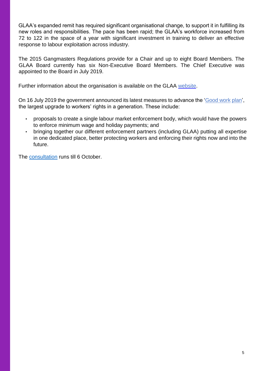GLAA's expanded remit has required significant organisational change, to support it in fulfilling its new roles and responsibilities. The pace has been rapid; the GLAA's workforce increased from 72 to 122 in the space of a year with significant investment in training to deliver an effective response to labour exploitation across industry.

The 2015 Gangmasters Regulations provide for a Chair and up to eight Board Members. The GLAA Board currently has six Non-Executive Board Members. The Chief Executive was appointed to the Board in July 2019.

Further information about the organisation is available on the GLAA [website.](http://www.gla.gov.uk/)

On 16 July 2019 the government announced its latest measures to advance the ['Good work](https://www.gov.uk/government/news/largest-upgrade-in-a-generation-to-workplace-rights-getting-work-right-for-british-workers-and-businesses) [plan',](https://www.gov.uk/government/news/largest-upgrade-in-a-generation-to-workplace-rights-getting-work-right-for-british-workers-and-businesses) the largest upgrade to workers' rights in a generation. These include:

- proposals to create a single labour market enforcement body, which would have the powers to enforce minimum wage and holiday payments; and
- bringing together our different enforcement partners (including GLAA) putting all expertise in one dedicated place, better protecting workers and enforcing their rights now and into the future.

The [consultation](https://www.gov.uk/government/consultations/good-work-plan-establishing-a-new-single-enforcement-body-for-employment-rights) runs till 6 October.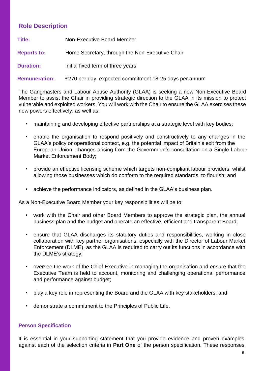## **Role Description**

| Title:             | Non-Executive Board Member                      |
|--------------------|-------------------------------------------------|
| <b>Reports to:</b> | Home Secretary, through the Non-Executive Chair |
| <b>Duration:</b>   | Initial fixed term of three years               |

**Remuneration:** £270 per day, expected commitment 18-25 days per annum

The Gangmasters and Labour Abuse Authority (GLAA) is seeking a new Non-Executive Board Member to assist the Chair in providing strategic direction to the GLAA in its mission to protect vulnerable and exploited workers. You will work with the Chair to ensure the GLAA exercises these new powers effectively, as well as:

- maintaining and developing effective partnerships at a strategic level with key bodies:
- enable the organisation to respond positively and constructively to any changes in the GLAA's policy or operational context, e.g. the potential impact of Britain's exit from the European Union, changes arising from the Government's consultation on a Single Labour Market Enforcement Body;
- provide an effective licensing scheme which targets non-compliant labour providers, whilst allowing those businesses which do conform to the required standards, to flourish; and
- achieve the performance indicators, as defined in the GLAA's business plan.

As a Non-Executive Board Member your key responsibilities will be to:

- work with the Chair and other Board Members to approve the strategic plan, the annual business plan and the budget and operate an effective, efficient and transparent Board;
- ensure that GLAA discharges its statutory duties and responsibilities, working in close collaboration with key partner organisations, especially with the Director of Labour Market Enforcement (DLME), as the GLAA is required to carry out its functions in accordance with the DLME's strategy;
- oversee the work of the Chief Executive in managing the organisation and ensure that the Executive Team is held to account, monitoring and challenging operational performance and performance against budget;
- play a key role in representing the Board and the GLAA with key stakeholders; and
- demonstrate a commitment to the Principles of Public Life.

## **Person Specification**

It is essential in your supporting statement that you provide evidence and proven examples against each of the selection criteria in **Part One** of the person specification. These responses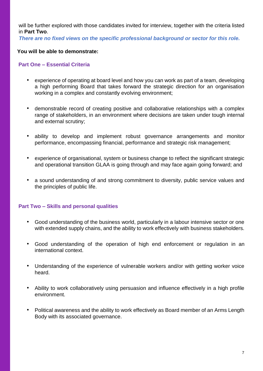will be further explored with those candidates invited for interview, together with the criteria listed in **Part Two**.

*There are no fixed views on the specific professional background or sector for this role.* 

#### **You will be able to demonstrate:**

#### **Part One – Essential Criteria**

- experience of operating at board level and how you can work as part of a team, developing a high performing Board that takes forward the strategic direction for an organisation working in a complex and constantly evolving environment;
- demonstrable record of creating positive and collaborative relationships with a complex range of stakeholders, in an environment where decisions are taken under tough internal and external scrutiny;
- ability to develop and implement robust governance arrangements and monitor performance, encompassing financial, performance and strategic risk management;
- experience of organisational, system or business change to reflect the significant strategic and operational transition GLAA is going through and may face again going forward; and
- a sound understanding of and strong commitment to diversity, public service values and the principles of public life.

### **Part Two – Skills and personal qualities**

- Good understanding of the business world, particularly in a labour intensive sector or one with extended supply chains, and the ability to work effectively with business stakeholders.
- Good understanding of the operation of high end enforcement or regulation in an international context.
- Understanding of the experience of vulnerable workers and/or with getting worker voice heard.
- Ability to work collaboratively using persuasion and influence effectively in a high profile environment.
- Political awareness and the ability to work effectively as Board member of an Arms Length Body with its associated governance.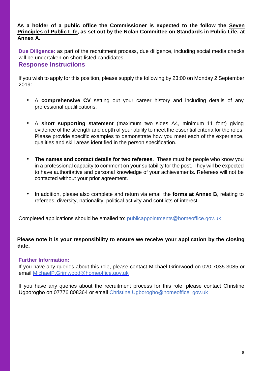**As a holder of a public office the Commissioner is expected to the follow the Seven Principles of Public Life, as set out by the Nolan Committee on Standards in Public Life, at Annex A.** 

**Due Diligence:** as part of the recruitment process, due diligence, including social media checks will be undertaken on short-listed candidates.

## **Response Instructions**

If you wish to apply for this position, please supply the following by 23:00 on Monday 2 September 2019:

- A **comprehensive CV** setting out your career history and including details of any professional qualifications.
- A **short supporting statement** (maximum two sides A4, minimum 11 font) giving evidence of the strength and depth of your ability to meet the essential criteria for the roles. Please provide specific examples to demonstrate how you meet each of the experience, qualities and skill areas identified in the person specification.
- **The names and contact details for two referees**. These must be people who know you in a professional capacity to comment on your suitability for the post. They will be expected to have authoritative and personal knowledge of your achievements. Referees will not be contacted without your prior agreement.
- In addition, please also complete and return via email the **forms at Annex B**, relating to referees, diversity, nationality, political activity and conflicts of interest.

Completed applications should be emailed to: publicappointments@homeoffice.gov.uk

## **Please note it is your responsibility to ensure we receive your application by the closing date.**

## **Further Information:**

If you have any queries about this role, please contact Michael Grimwood on 020 7035 3085 or email MichaelP.Grimwood@homeoffice.gov.uk

If you have any queries about the recruitment process for this role, please contact Christine Ugborogho on 07776 808364 or email Christine.Ugborogho@homeoffice. gov.uk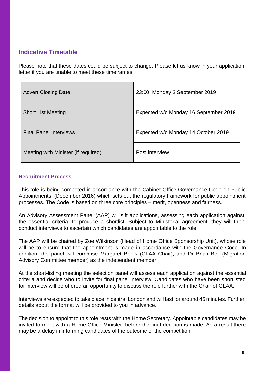## **Indicative Timetable**

Please note that these dates could be subject to change. Please let us know in your application letter if you are unable to meet these timeframes.

| <b>Advert Closing Date</b>          | 23:00, Monday 2 September 2019        |
|-------------------------------------|---------------------------------------|
| <b>Short List Meeting</b>           | Expected w/c Monday 16 September 2019 |
| <b>Final Panel Interviews</b>       | Expected w/c Monday 14 October 2019   |
| Meeting with Minister (if required) | Post interview                        |

### **Recruitment Process**

This role is being competed in accordance with the Cabinet Office Governance Code on Public Appointments, (December 2016) which sets out the regulatory framework for public appointment processes. The Code is based on three core principles – merit, openness and fairness.

An Advisory Assessment Panel (AAP) will sift applications, assessing each application against the essential criteria, to produce a shortlist. Subject to Ministerial agreement, they will then conduct interviews to ascertain which candidates are appointable to the role.

The AAP will be chaired by Zoe Wilkinson (Head of Home Office Sponsorship Unit), whose role will be to ensure that the appointment is made in accordance with the Governance Code. In addition, the panel will comprise Margaret Beels (GLAA Chair), and Dr Brian Bell (Migration Advisory Committee member) as the independent member.

At the short-listing meeting the selection panel will assess each application against the essential criteria and decide who to invite for final panel interview. Candidates who have been shortlisted for interview will be offered an opportunity to discuss the role further with the Chair of GLAA.

Interviews are expected to take place in central London and will last for around 45 minutes. Further details about the format will be provided to you in advance.

The decision to appoint to this role rests with the Home Secretary. Appointable candidates may be invited to meet with a Home Office Minister, before the final decision is made. As a result there may be a delay in informing candidates of the outcome of the competition.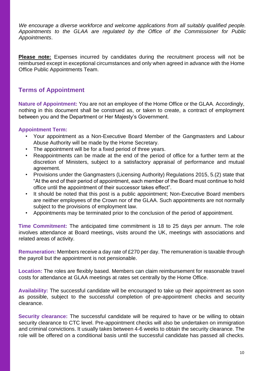*We encourage a diverse workforce and welcome applications from all suitably qualified people. Appointments to the GLAA are regulated by the Office of the Commissioner for Public Appointments*.

**Please note:** Expenses incurred by candidates during the recruitment process will not be reimbursed except in exceptional circumstances and only when agreed in advance with the Home Office Public Appointments Team.

## **Terms of Appointment**

**Nature of Appointment:** You are not an employee of the Home Office or the GLAA. Accordingly, nothing in this document shall be construed as, or taken to create, a contract of employment between you and the Department or Her Majesty's Government.

### **Appointment Term:**

- Your appointment as a Non-Executive Board Member of the Gangmasters and Labour Abuse Authority will be made by the Home Secretary.
- The appointment will be for a fixed period of three years.
- Reappointments can be made at the end of the period of office for a further term at the discretion of Ministers, subject to a satisfactory appraisal of performance and mutual agreement.
- Provisions under the Gangmasters (Licensing Authority) Regulations 2015, 5.(2) state that "At the end of their period of appointment, each member of the Board must continue to hold office until the appointment of their successor takes effect".
- It should be noted that this post is a public appointment; Non-Executive Board members are neither employees of the Crown nor of the GLAA. Such appointments are not normally subject to the provisions of employment law.
- Appointments may be terminated prior to the conclusion of the period of appointment.

**Time Commitment:** The anticipated time commitment is 18 to 25 days per annum. The role involves attendance at Board meetings, visits around the UK, meetings with associations and related areas of activity.

**Remuneration:** Members receive a day rate of £270 per day. The remuneration is taxable through the payroll but the appointment is not pensionable.

**Location:** The roles are flexibly based. Members can claim reimbursement for reasonable travel costs for attendance at GLAA meetings at rates set centrally by the Home Office.

**Availability:** The successful candidate will be encouraged to take up their appointment as soon as possible, subject to the successful completion of pre-appointment checks and security clearance.

**Security clearance:** The successful candidate will be required to have or be willing to obtain security clearance to CTC level. Pre-appointment checks will also be undertaken on immigration and criminal convictions. It usually takes between 4-6 weeks to obtain the security clearance. The role will be offered on a conditional basis until the successful candidate has passed all checks.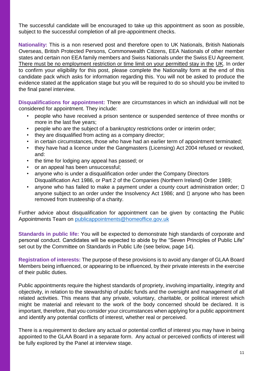The successful candidate will be encouraged to take up this appointment as soon as possible, subject to the successful completion of all pre-appointment checks.

**Nationality:** This is a non reserved post and therefore open to UK Nationals, British Nationals Overseas, British Protected Persons, Commonwealth Citizens, EEA Nationals of other member states and certain non EEA family members and Swiss Nationals under the Swiss EU Agreement. There must be no employment restriction or time limit on your permitted stay in the UK. In order to confirm your eligibility for this post, please complete the Nationality form at the end of this candidate pack which asks for information regarding this. You will not be asked to produce the evidence stated at the application stage but you will be required to do so should you be invited to the final panel interview.

**Disqualifications for appointment:** There are circumstances in which an individual will not be considered for appointment. They include:

- people who have received a prison sentence or suspended sentence of three months or more in the last five years;
- people who are the subject of a bankruptcy restrictions order or interim order;
- they are disqualified from acting as a company director;
- in certain circumstances, those who have had an earlier term of appointment terminated;
- they have had a licence under the Gangmasters (Licensing) Act 2004 refused or revoked, and:
- the time for lodging any appeal has passed; or
- or an appeal has been unsuccessful;
- anyone who is under a disqualification order under the Company Directors Disqualification Act 1986, or Part 2 of the Companies (Northern Ireland) Order 1989;
- anyone who has failed to make a payment under a county court administration order;  $\Box$ anyone subject to an order under the Insolvency Act 1986; and  $\square$  anyone who has been removed from trusteeship of a charity.

Further advice about disqualification for appointment can be given by contacting the Public Appointments Team on publicappointments@homeoffice.gov.uk

**Standards in public life:** You will be expected to demonstrate high standards of corporate and personal conduct. Candidates will be expected to abide by the "Seven Principles of Public Life" set out by the Committee on Standards in Public Life (see below, page 14).

**Registration of interests:** The purpose of these provisions is to avoid any danger of GLAA Board Members being influenced, or appearing to be influenced, by their private interests in the exercise of their public duties.

Public appointments require the highest standards of propriety, involving impartiality, integrity and objectivity, in relation to the stewardship of public funds and the oversight and management of all related activities. This means that any private, voluntary, charitable, or political interest which might be material and relevant to the work of the body concerned should be declared. It is important, therefore, that you consider your circumstances when applying for a public appointment and identify any potential conflicts of interest, whether real or perceived.

There is a requirement to declare any actual or potential conflict of interest you may have in being appointed to the GLAA Board in a separate form. Any actual or perceived conflicts of interest will be fully explored by the Panel at interview stage.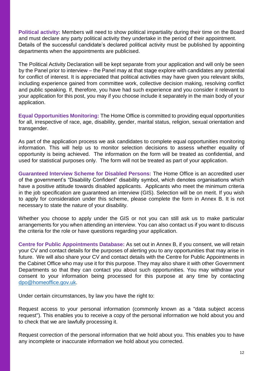**Political activity:** Members will need to show political impartiality during their time on the Board and must declare any party political activity they undertake in the period of their appointment. Details of the successful candidate's declared political activity must be published by appointing departments when the appointments are publicised.

The Political Activity Declaration will be kept separate from your application and will only be seen by the Panel prior to interview – the Panel may at that stage explore with candidates any potential for conflict of interest. It is appreciated that political activities may have given you relevant skills, including experience gained from committee work, collective decision making, resolving conflict and public speaking. If, therefore, you have had such experience and you consider it relevant to your application for this post, you may if you choose include it separately in the main body of your application.

**Equal Opportunities Monitoring:** The Home Office is committed to providing equal opportunities for all, irrespective of race, age, disability, gender, marital status, religion, sexual orientation and transgender.

As part of the application process we ask candidates to complete equal opportunities monitoring information. This will help us to monitor selection decisions to assess whether equality of opportunity is being achieved. The information on the form will be treated as confidential, and used for statistical purposes only. The form will not be treated as part of your application.

**Guaranteed Interview Scheme for Disabled Persons:** The Home Office is an accredited user of the government's "Disability Confident" disability symbol, which denotes organisations which have a positive attitude towards disabled applicants. Applicants who meet the minimum criteria in the job specification are guaranteed an interview (GIS). Selection will be on merit. If you wish to apply for consideration under this scheme, please complete the form in Annex B. It is not necessary to state the nature of your disability.

Whether you choose to apply under the GIS or not you can still ask us to make particular arrangements for you when attending an interview. You can also contact us if you want to discuss the criteria for the role or have questions regarding your application.

**Centre for Public Appointments Database:** As set out in Annex B, if you consent, we will retain your CV and contact details for the purposes of alerting you to any opportunities that may arise in future. We will also share your CV and contact details with the Centre for Public Appointments in the Cabinet Office who may use it for this purpose. They may also share it with other Government Departments so that they can contact you about such opportunities. You may withdraw your consent to your information being processed for this purpose at any time by contacting dpo@homeoffice.gov.uk.

Under certain circumstances, by law you have the right to:

Request access to your personal information (commonly known as a "data subject access request"). This enables you to receive a copy of the personal information we hold about you and to check that we are lawfully processing it.

Request correction of the personal information that we hold about you. This enables you to have any incomplete or inaccurate information we hold about you corrected.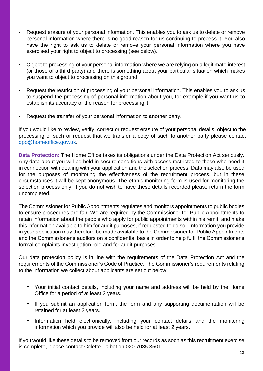- Request erasure of your personal information. This enables you to ask us to delete or remove personal information where there is no good reason for us continuing to process it. You also have the right to ask us to delete or remove your personal information where you have exercised your right to object to processing (see below).
- Object to processing of your personal information where we are relying on a legitimate interest (or those of a third party) and there is something about your particular situation which makes you want to object to processing on this ground.
- Request the restriction of processing of your personal information. This enables you to ask us to suspend the processing of personal information about you, for example if you want us to establish its accuracy or the reason for processing it.
- Request the transfer of your personal information to another party.

If you would like to review, verify, correct or request erasure of your personal details, object to the processing of such or request that we transfer a copy of such to another party please contact dpo@homeoffice.gov.uk.

**Data Protection:** The Home Office takes its obligations under the Data Protection Act seriously. Any data about you will be held in secure conditions with access restricted to those who need it in connection with dealing with your application and the selection process. Data may also be used for the purposes of monitoring the effectiveness of the recruitment process, but in these circumstances it will be kept anonymous. The ethnic monitoring form is used for monitoring the selection process only. If you do not wish to have these details recorded please return the form uncompleted.

The Commissioner for Public Appointments regulates and monitors appointments to public bodies to ensure procedures are fair. We are required by the Commissioner for Public Appointments to retain information about the people who apply for public appointments within his remit, and make this information available to him for audit purposes, if requested to do so. Information you provide in your application may therefore be made available to the Commissioner for Public Appointments and the Commissioner's auditors on a confidential basis in order to help fulfil the Commissioner's formal complaints investigation role and for audit purposes.

Our data protection policy is in line with the requirements of the Data Protection Act and the requirements of the Commissioner's Code of Practice. The Commissioner's requirements relating to the information we collect about applicants are set out below:

- Your initial contact details, including your name and address will be held by the Home Office for a period of at least 2 years.
- If you submit an application form, the form and any supporting documentation will be retained for at least 2 years.
- Information held electronically, including your contact details and the monitoring information which you provide will also be held for at least 2 years.

If you would like these details to be removed from our records as soon as this recruitment exercise is complete, please contact Colette Talbot on 020 7035 3501.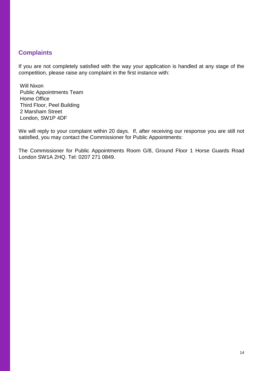## **Complaints**

If you are not completely satisfied with the way your application is handled at any stage of the competition, please raise any complaint in the first instance with:

Will Nixon Public Appointments Team Home Office Third Floor, Peel Building 2 Marsham Street London, SW1P 4DF

We will reply to your complaint within 20 days. If, after receiving our response you are still not satisfied, you may contact the Commissioner for Public Appointments:

The Commissioner for Public Appointments Room G/8, Ground Floor 1 Horse Guards Road London SW1A 2HQ. Tel: 0207 271 0849.